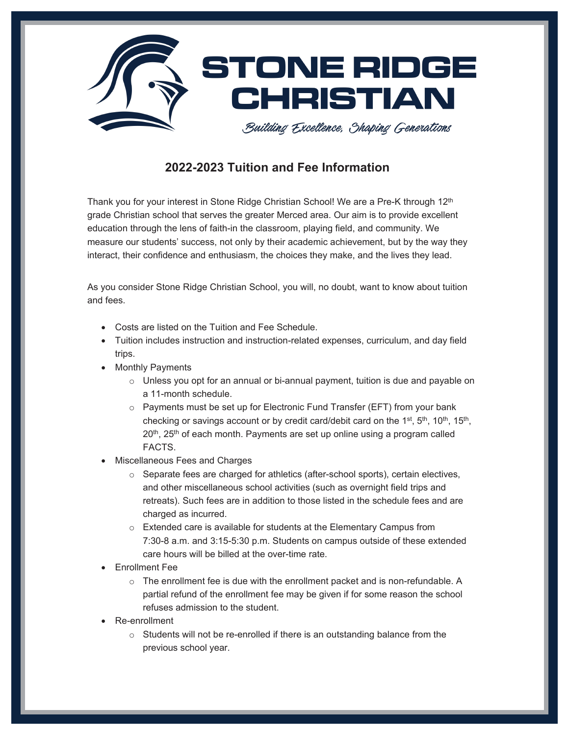

### **2022-2023 Tuition and Fee Information**

Thank you for your interest in Stone Ridge Christian School! We are a Pre-K through 12<sup>th</sup> grade Christian school that serves the greater Merced area. Our aim is to provide excellent education through the lens of faith-in the classroom, playing field, and community. We measure our students' success, not only by their academic achievement, but by the way they interact, their confidence and enthusiasm, the choices they make, and the lives they lead.

As you consider Stone Ridge Christian School, you will, no doubt, want to know about tuition and fees.

- Costs are listed on the Tuition and Fee Schedule.
- Tuition includes instruction and instruction-related expenses, curriculum, and day field trips.
- Monthly Payments
	- $\circ$  Unless you opt for an annual or bi-annual payment, tuition is due and payable on a 11-month schedule.
	- o Payments must be set up for Electronic Fund Transfer (EFT) from your bank checking or savings account or by credit card/debit card on the 1st, 5<sup>th</sup>, 10<sup>th</sup>, 15<sup>th</sup>, 20<sup>th</sup>, 25<sup>th</sup> of each month. Payments are set up online using a program called **FACTS**
- Miscellaneous Fees and Charges
	- o Separate fees are charged for athletics (after-school sports), certain electives, and other miscellaneous school activities (such as overnight field trips and retreats). Such fees are in addition to those listed in the schedule fees and are charged as incurred.
	- o Extended care is available for students at the Elementary Campus from 7:30-8 a.m. and 3:15-5:30 p.m. Students on campus outside of these extended care hours will be billed at the over-time rate.
- Enrollment Fee
	- $\circ$  The enrollment fee is due with the enrollment packet and is non-refundable. A partial refund of the enrollment fee may be given if for some reason the school refuses admission to the student.
- Re-enrollment
	- $\circ$  Students will not be re-enrolled if there is an outstanding balance from the previous school year.